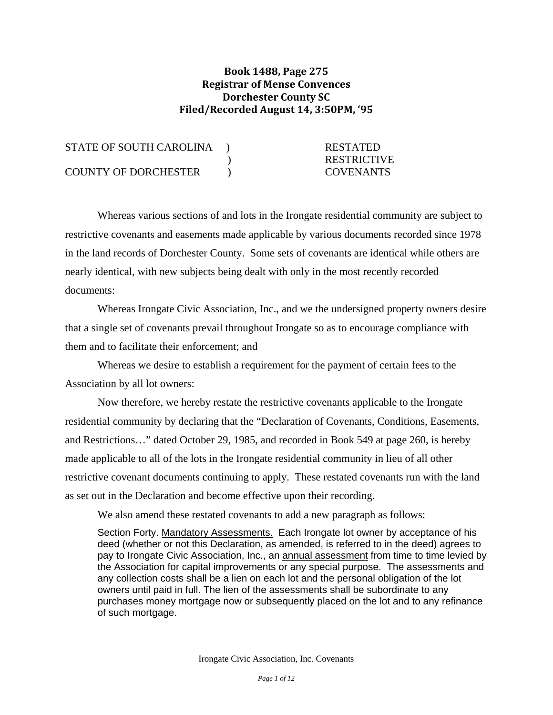## **Book 1488, Page 275 Registrar of Mense Convences Dorchester County SC Filed/Recorded August 14, 3:50PM, '95**

| STATE OF SOUTH CAROLINA     | <b>RESTATED</b>    |
|-----------------------------|--------------------|
|                             | <b>RESTRICTIVE</b> |
| <b>COUNTY OF DORCHESTER</b> | <b>COVENANTS</b>   |

 Whereas various sections of and lots in the Irongate residential community are subject to restrictive covenants and easements made applicable by various documents recorded since 1978 in the land records of Dorchester County. Some sets of covenants are identical while others are nearly identical, with new subjects being dealt with only in the most recently recorded documents:

 Whereas Irongate Civic Association, Inc., and we the undersigned property owners desire that a single set of covenants prevail throughout Irongate so as to encourage compliance with them and to facilitate their enforcement; and

 Whereas we desire to establish a requirement for the payment of certain fees to the Association by all lot owners:

 Now therefore, we hereby restate the restrictive covenants applicable to the Irongate residential community by declaring that the "Declaration of Covenants, Conditions, Easements, and Restrictions…" dated October 29, 1985, and recorded in Book 549 at page 260, is hereby made applicable to all of the lots in the Irongate residential community in lieu of all other restrictive covenant documents continuing to apply. These restated covenants run with the land as set out in the Declaration and become effective upon their recording.

We also amend these restated covenants to add a new paragraph as follows:

Section Forty. Mandatory Assessments. Each Irongate lot owner by acceptance of his deed (whether or not this Declaration, as amended, is referred to in the deed) agrees to pay to Irongate Civic Association, Inc., an annual assessment from time to time levied by the Association for capital improvements or any special purpose. The assessments and any collection costs shall be a lien on each lot and the personal obligation of the lot owners until paid in full. The lien of the assessments shall be subordinate to any purchases money mortgage now or subsequently placed on the lot and to any refinance of such mortgage.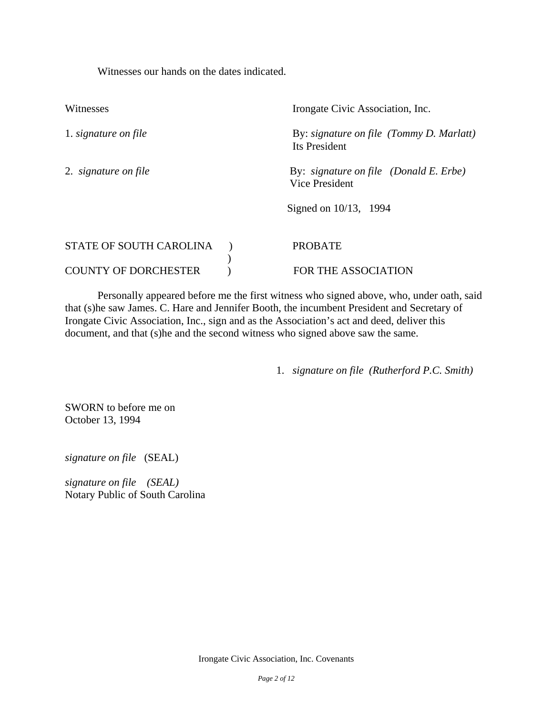Witnesses our hands on the dates indicated.

| Witnesses                      | Irongate Civic Association, Inc.                          |
|--------------------------------|-----------------------------------------------------------|
| 1. signature on file           | By: signature on file (Tommy D. Marlatt)<br>Its President |
| 2. signature on file           | By: signature on file (Donald E. Erbe)<br>Vice President  |
|                                | Signed on $10/13$ , 1994                                  |
| <b>STATE OF SOUTH CAROLINA</b> | <b>PROBATE</b>                                            |
| <b>COUNTY OF DORCHESTER</b>    | FOR THE ASSOCIATION                                       |

 Personally appeared before me the first witness who signed above, who, under oath, said that (s)he saw James. C. Hare and Jennifer Booth, the incumbent President and Secretary of Irongate Civic Association, Inc., sign and as the Association's act and deed, deliver this document, and that (s)he and the second witness who signed above saw the same.

1. *signature on file (Rutherford P.C. Smith)* 

SWORN to before me on October 13, 1994

*signature on file* (SEAL)

*signature on file (SEAL)*  Notary Public of South Carolina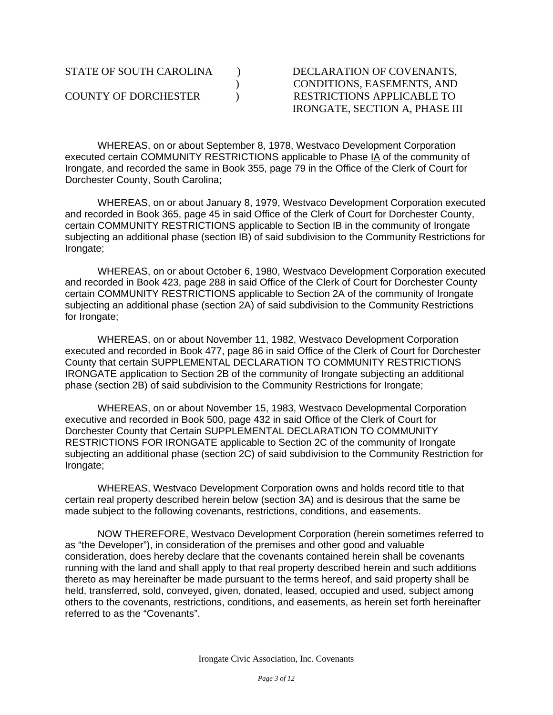## ) CONDITIONS, EASEMENTS, AND IRONGATE, SECTION A, PHASE III

WHEREAS, on or about September 8, 1978, Westvaco Development Corporation executed certain COMMUNITY RESTRICTIONS applicable to Phase IA of the community of Irongate, and recorded the same in Book 355, page 79 in the Office of the Clerk of Court for Dorchester County, South Carolina;

 WHEREAS, on or about January 8, 1979, Westvaco Development Corporation executed and recorded in Book 365, page 45 in said Office of the Clerk of Court for Dorchester County, certain COMMUNITY RESTRICTIONS applicable to Section IB in the community of Irongate subjecting an additional phase (section IB) of said subdivision to the Community Restrictions for Irongate;

 WHEREAS, on or about October 6, 1980, Westvaco Development Corporation executed and recorded in Book 423, page 288 in said Office of the Clerk of Court for Dorchester County certain COMMUNITY RESTRICTIONS applicable to Section 2A of the community of Irongate subjecting an additional phase (section 2A) of said subdivision to the Community Restrictions for Irongate;

 WHEREAS, on or about November 11, 1982, Westvaco Development Corporation executed and recorded in Book 477, page 86 in said Office of the Clerk of Court for Dorchester County that certain SUPPLEMENTAL DECLARATION TO COMMUNITY RESTRICTIONS IRONGATE application to Section 2B of the community of Irongate subjecting an additional phase (section 2B) of said subdivision to the Community Restrictions for Irongate;

 WHEREAS, on or about November 15, 1983, Westvaco Developmental Corporation executive and recorded in Book 500, page 432 in said Office of the Clerk of Court for Dorchester County that Certain SUPPLEMENTAL DECLARATION TO COMMUNITY RESTRICTIONS FOR IRONGATE applicable to Section 2C of the community of Irongate subjecting an additional phase (section 2C) of said subdivision to the Community Restriction for Irongate;

 WHEREAS, Westvaco Development Corporation owns and holds record title to that certain real property described herein below (section 3A) and is desirous that the same be made subject to the following covenants, restrictions, conditions, and easements.

 NOW THEREFORE, Westvaco Development Corporation (herein sometimes referred to as "the Developer"), in consideration of the premises and other good and valuable consideration, does hereby declare that the covenants contained herein shall be covenants running with the land and shall apply to that real property described herein and such additions thereto as may hereinafter be made pursuant to the terms hereof, and said property shall be held, transferred, sold, conveyed, given, donated, leased, occupied and used, subject among others to the covenants, restrictions, conditions, and easements, as herein set forth hereinafter referred to as the "Covenants".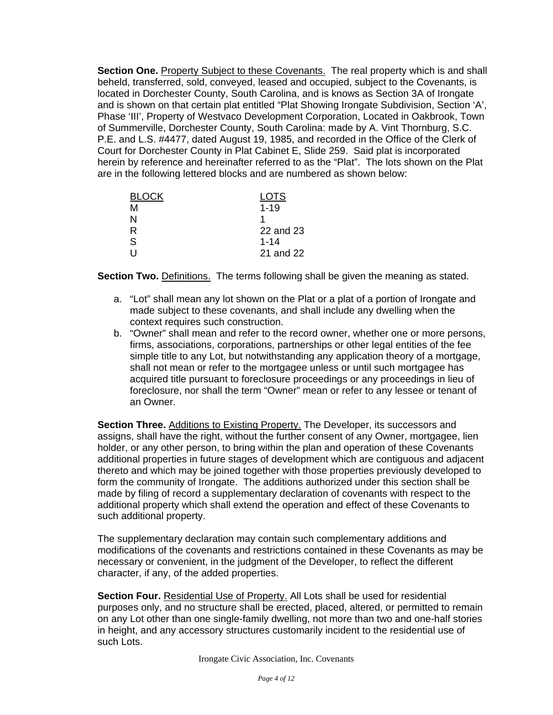**Section One.** Property Subject to these Covenants. The real property which is and shall beheld, transferred, sold, conveyed, leased and occupied, subject to the Covenants, is located in Dorchester County, South Carolina, and is knows as Section 3A of Irongate and is shown on that certain plat entitled "Plat Showing Irongate Subdivision, Section 'A', Phase 'III', Property of Westvaco Development Corporation, Located in Oakbrook, Town of Summerville, Dorchester County, South Carolina: made by A. Vint Thornburg, S.C. P.E. and L.S. #4477, dated August 19, 1985, and recorded in the Office of the Clerk of Court for Dorchester County in Plat Cabinet E, Slide 259. Said plat is incorporated herein by reference and hereinafter referred to as the "Plat". The lots shown on the Plat are in the following lettered blocks and are numbered as shown below:

| <b>BLOCK</b> | <b>LOTS</b> |
|--------------|-------------|
| м            | $1 - 19$    |
| N            |             |
| R            | 22 and 23   |
| S            | $1 - 14$    |
|              | 21 and 22   |

**Section Two.** Definitions. The terms following shall be given the meaning as stated.

- a. "Lot" shall mean any lot shown on the Plat or a plat of a portion of Irongate and made subject to these covenants, and shall include any dwelling when the context requires such construction.
- b. "Owner" shall mean and refer to the record owner, whether one or more persons, firms, associations, corporations, partnerships or other legal entities of the fee simple title to any Lot, but notwithstanding any application theory of a mortgage, shall not mean or refer to the mortgagee unless or until such mortgagee has acquired title pursuant to foreclosure proceedings or any proceedings in lieu of foreclosure, nor shall the term "Owner" mean or refer to any lessee or tenant of an Owner.

**Section Three.** Additions to Existing Property. The Developer, its successors and assigns, shall have the right, without the further consent of any Owner, mortgagee, lien holder, or any other person, to bring within the plan and operation of these Covenants additional properties in future stages of development which are contiguous and adjacent thereto and which may be joined together with those properties previously developed to form the community of Irongate. The additions authorized under this section shall be made by filing of record a supplementary declaration of covenants with respect to the additional property which shall extend the operation and effect of these Covenants to such additional property.

The supplementary declaration may contain such complementary additions and modifications of the covenants and restrictions contained in these Covenants as may be necessary or convenient, in the judgment of the Developer, to reflect the different character, if any, of the added properties.

Section Four. Residential Use of Property. All Lots shall be used for residential purposes only, and no structure shall be erected, placed, altered, or permitted to remain on any Lot other than one single-family dwelling, not more than two and one-half stories in height, and any accessory structures customarily incident to the residential use of such Lots.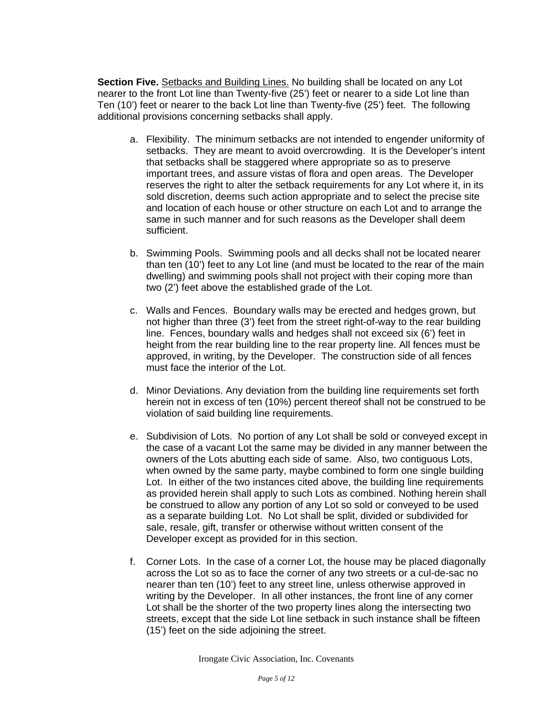**Section Five.** Setbacks and Building Lines. No building shall be located on any Lot nearer to the front Lot line than Twenty-five (25') feet or nearer to a side Lot line than Ten (10') feet or nearer to the back Lot line than Twenty-five (25') feet. The following additional provisions concerning setbacks shall apply.

- a. Flexibility. The minimum setbacks are not intended to engender uniformity of setbacks. They are meant to avoid overcrowding. It is the Developer's intent that setbacks shall be staggered where appropriate so as to preserve important trees, and assure vistas of flora and open areas. The Developer reserves the right to alter the setback requirements for any Lot where it, in its sold discretion, deems such action appropriate and to select the precise site and location of each house or other structure on each Lot and to arrange the same in such manner and for such reasons as the Developer shall deem sufficient.
- b. Swimming Pools. Swimming pools and all decks shall not be located nearer than ten (10') feet to any Lot line (and must be located to the rear of the main dwelling) and swimming pools shall not project with their coping more than two (2') feet above the established grade of the Lot.
- c. Walls and Fences. Boundary walls may be erected and hedges grown, but not higher than three (3') feet from the street right-of-way to the rear building line. Fences, boundary walls and hedges shall not exceed six (6') feet in height from the rear building line to the rear property line. All fences must be approved, in writing, by the Developer. The construction side of all fences must face the interior of the Lot.
- d. Minor Deviations. Any deviation from the building line requirements set forth herein not in excess of ten (10%) percent thereof shall not be construed to be violation of said building line requirements.
- e. Subdivision of Lots. No portion of any Lot shall be sold or conveyed except in the case of a vacant Lot the same may be divided in any manner between the owners of the Lots abutting each side of same. Also, two contiguous Lots, when owned by the same party, maybe combined to form one single building Lot. In either of the two instances cited above, the building line requirements as provided herein shall apply to such Lots as combined. Nothing herein shall be construed to allow any portion of any Lot so sold or conveyed to be used as a separate building Lot. No Lot shall be split, divided or subdivided for sale, resale, gift, transfer or otherwise without written consent of the Developer except as provided for in this section.
- f. Corner Lots. In the case of a corner Lot, the house may be placed diagonally across the Lot so as to face the corner of any two streets or a cul-de-sac no nearer than ten (10') feet to any street line, unless otherwise approved in writing by the Developer. In all other instances, the front line of any corner Lot shall be the shorter of the two property lines along the intersecting two streets, except that the side Lot line setback in such instance shall be fifteen (15') feet on the side adjoining the street.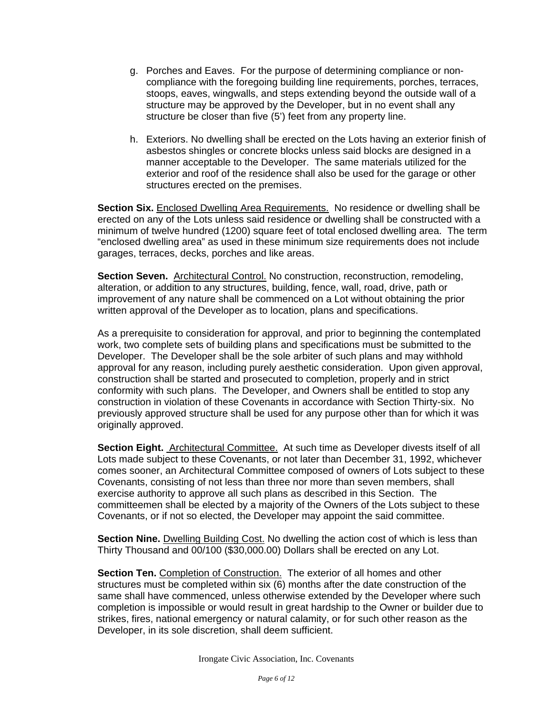- g. Porches and Eaves. For the purpose of determining compliance or noncompliance with the foregoing building line requirements, porches, terraces, stoops, eaves, wingwalls, and steps extending beyond the outside wall of a structure may be approved by the Developer, but in no event shall any structure be closer than five (5') feet from any property line.
- h. Exteriors. No dwelling shall be erected on the Lots having an exterior finish of asbestos shingles or concrete blocks unless said blocks are designed in a manner acceptable to the Developer. The same materials utilized for the exterior and roof of the residence shall also be used for the garage or other structures erected on the premises.

**Section Six.** Enclosed Dwelling Area Requirements. No residence or dwelling shall be erected on any of the Lots unless said residence or dwelling shall be constructed with a minimum of twelve hundred (1200) square feet of total enclosed dwelling area. The term "enclosed dwelling area" as used in these minimum size requirements does not include garages, terraces, decks, porches and like areas.

**Section Seven.** Architectural Control. No construction, reconstruction, remodeling, alteration, or addition to any structures, building, fence, wall, road, drive, path or improvement of any nature shall be commenced on a Lot without obtaining the prior written approval of the Developer as to location, plans and specifications.

As a prerequisite to consideration for approval, and prior to beginning the contemplated work, two complete sets of building plans and specifications must be submitted to the Developer. The Developer shall be the sole arbiter of such plans and may withhold approval for any reason, including purely aesthetic consideration. Upon given approval, construction shall be started and prosecuted to completion, properly and in strict conformity with such plans. The Developer, and Owners shall be entitled to stop any construction in violation of these Covenants in accordance with Section Thirty-six. No previously approved structure shall be used for any purpose other than for which it was originally approved.

**Section Eight.** Architectural Committee. At such time as Developer divests itself of all Lots made subject to these Covenants, or not later than December 31, 1992, whichever comes sooner, an Architectural Committee composed of owners of Lots subject to these Covenants, consisting of not less than three nor more than seven members, shall exercise authority to approve all such plans as described in this Section. The committeemen shall be elected by a majority of the Owners of the Lots subject to these Covenants, or if not so elected, the Developer may appoint the said committee.

**Section Nine.** Dwelling Building Cost. No dwelling the action cost of which is less than Thirty Thousand and 00/100 (\$30,000.00) Dollars shall be erected on any Lot.

**Section Ten.** Completion of Construction. The exterior of all homes and other structures must be completed within six (6) months after the date construction of the same shall have commenced, unless otherwise extended by the Developer where such completion is impossible or would result in great hardship to the Owner or builder due to strikes, fires, national emergency or natural calamity, or for such other reason as the Developer, in its sole discretion, shall deem sufficient.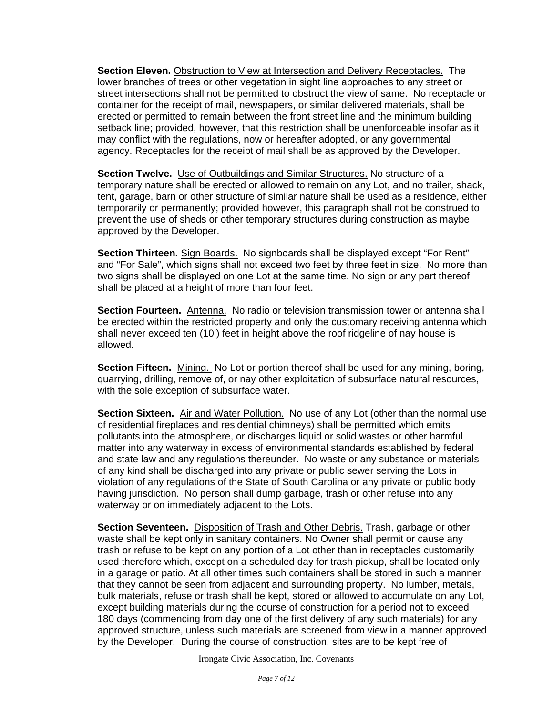**Section Eleven.** Obstruction to View at Intersection and Delivery Receptacles. The lower branches of trees or other vegetation in sight line approaches to any street or street intersections shall not be permitted to obstruct the view of same. No receptacle or container for the receipt of mail, newspapers, or similar delivered materials, shall be erected or permitted to remain between the front street line and the minimum building setback line; provided, however, that this restriction shall be unenforceable insofar as it may conflict with the regulations, now or hereafter adopted, or any governmental agency. Receptacles for the receipt of mail shall be as approved by the Developer.

**Section Twelve.** Use of Outbuildings and Similar Structures. No structure of a temporary nature shall be erected or allowed to remain on any Lot, and no trailer, shack, tent, garage, barn or other structure of similar nature shall be used as a residence, either temporarily or permanently; provided however, this paragraph shall not be construed to prevent the use of sheds or other temporary structures during construction as maybe approved by the Developer.

**Section Thirteen.** Sign Boards. No signboards shall be displayed except "For Rent" and "For Sale", which signs shall not exceed two feet by three feet in size. No more than two signs shall be displayed on one Lot at the same time. No sign or any part thereof shall be placed at a height of more than four feet.

Section Fourteen. Antenna. No radio or television transmission tower or antenna shall be erected within the restricted property and only the customary receiving antenna which shall never exceed ten (10') feet in height above the roof ridgeline of nay house is allowed.

**Section Fifteen.** Mining. No Lot or portion thereof shall be used for any mining, boring, quarrying, drilling, remove of, or nay other exploitation of subsurface natural resources, with the sole exception of subsurface water.

**Section Sixteen.** Air and Water Pollution. No use of any Lot (other than the normal use of residential fireplaces and residential chimneys) shall be permitted which emits pollutants into the atmosphere, or discharges liquid or solid wastes or other harmful matter into any waterway in excess of environmental standards established by federal and state law and any regulations thereunder. No waste or any substance or materials of any kind shall be discharged into any private or public sewer serving the Lots in violation of any regulations of the State of South Carolina or any private or public body having jurisdiction. No person shall dump garbage, trash or other refuse into any waterway or on immediately adjacent to the Lots.

**Section Seventeen.** Disposition of Trash and Other Debris. Trash, garbage or other waste shall be kept only in sanitary containers. No Owner shall permit or cause any trash or refuse to be kept on any portion of a Lot other than in receptacles customarily used therefore which, except on a scheduled day for trash pickup, shall be located only in a garage or patio. At all other times such containers shall be stored in such a manner that they cannot be seen from adjacent and surrounding property. No lumber, metals, bulk materials, refuse or trash shall be kept, stored or allowed to accumulate on any Lot, except building materials during the course of construction for a period not to exceed 180 days (commencing from day one of the first delivery of any such materials) for any approved structure, unless such materials are screened from view in a manner approved by the Developer. During the course of construction, sites are to be kept free of

Irongate Civic Association, Inc. Covenants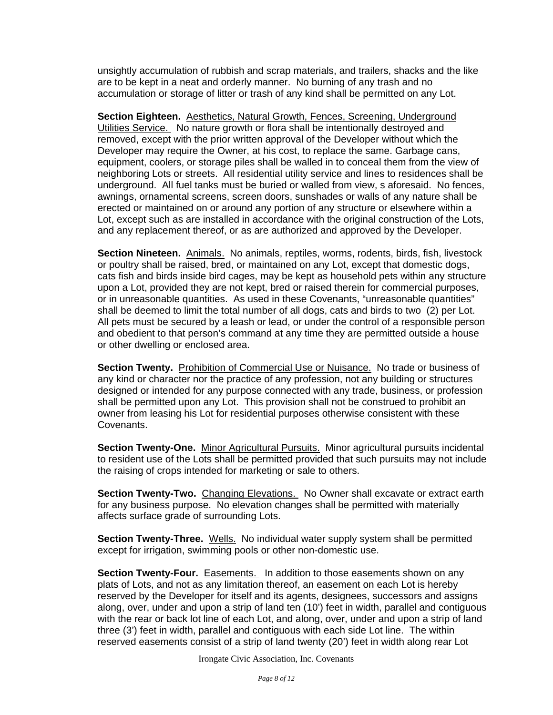unsightly accumulation of rubbish and scrap materials, and trailers, shacks and the like are to be kept in a neat and orderly manner. No burning of any trash and no accumulation or storage of litter or trash of any kind shall be permitted on any Lot.

**Section Eighteen.** Aesthetics, Natural Growth, Fences, Screening, Underground Utilities Service. No nature growth or flora shall be intentionally destroyed and removed, except with the prior written approval of the Developer without which the Developer may require the Owner, at his cost, to replace the same. Garbage cans, equipment, coolers, or storage piles shall be walled in to conceal them from the view of neighboring Lots or streets. All residential utility service and lines to residences shall be underground. All fuel tanks must be buried or walled from view, s aforesaid. No fences, awnings, ornamental screens, screen doors, sunshades or walls of any nature shall be erected or maintained on or around any portion of any structure or elsewhere within a Lot, except such as are installed in accordance with the original construction of the Lots, and any replacement thereof, or as are authorized and approved by the Developer.

Section Nineteen. **Animals.** No animals, reptiles, worms, rodents, birds, fish, livestock or poultry shall be raised, bred, or maintained on any Lot, except that domestic dogs, cats fish and birds inside bird cages, may be kept as household pets within any structure upon a Lot, provided they are not kept, bred or raised therein for commercial purposes, or in unreasonable quantities. As used in these Covenants, "unreasonable quantities" shall be deemed to limit the total number of all dogs, cats and birds to two (2) per Lot. All pets must be secured by a leash or lead, or under the control of a responsible person and obedient to that person's command at any time they are permitted outside a house or other dwelling or enclosed area.

**Section Twenty.** Prohibition of Commercial Use or Nuisance. No trade or business of any kind or character nor the practice of any profession, not any building or structures designed or intended for any purpose connected with any trade, business, or profession shall be permitted upon any Lot. This provision shall not be construed to prohibit an owner from leasing his Lot for residential purposes otherwise consistent with these Covenants.

**Section Twenty-One.** Minor Agricultural Pursuits. Minor agricultural pursuits incidental to resident use of the Lots shall be permitted provided that such pursuits may not include the raising of crops intended for marketing or sale to others.

**Section Twenty-Two.** Changing Elevations. No Owner shall excavate or extract earth for any business purpose. No elevation changes shall be permitted with materially affects surface grade of surrounding Lots.

**Section Twenty-Three.** Wells. No individual water supply system shall be permitted except for irrigation, swimming pools or other non-domestic use.

**Section Twenty-Four.** Easements. In addition to those easements shown on any plats of Lots, and not as any limitation thereof, an easement on each Lot is hereby reserved by the Developer for itself and its agents, designees, successors and assigns along, over, under and upon a strip of land ten (10') feet in width, parallel and contiguous with the rear or back lot line of each Lot, and along, over, under and upon a strip of land three (3') feet in width, parallel and contiguous with each side Lot line. The within reserved easements consist of a strip of land twenty (20') feet in width along rear Lot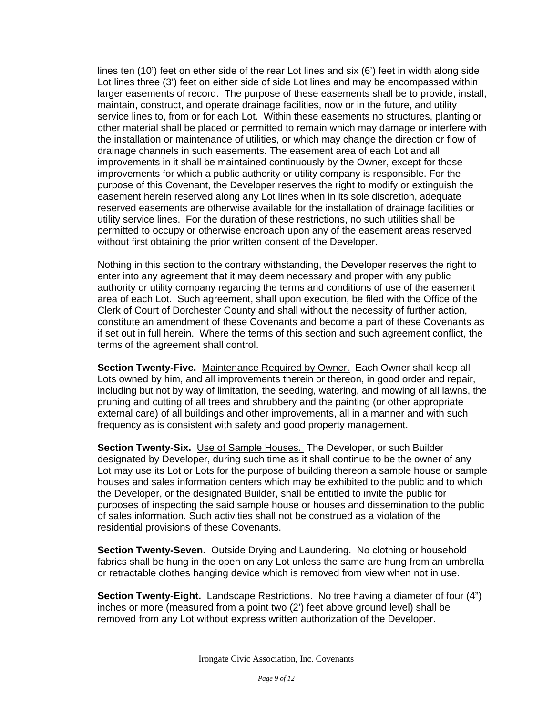lines ten (10') feet on ether side of the rear Lot lines and six (6') feet in width along side Lot lines three (3') feet on either side of side Lot lines and may be encompassed within larger easements of record. The purpose of these easements shall be to provide, install, maintain, construct, and operate drainage facilities, now or in the future, and utility service lines to, from or for each Lot. Within these easements no structures, planting or other material shall be placed or permitted to remain which may damage or interfere with the installation or maintenance of utilities, or which may change the direction or flow of drainage channels in such easements. The easement area of each Lot and all improvements in it shall be maintained continuously by the Owner, except for those improvements for which a public authority or utility company is responsible. For the purpose of this Covenant, the Developer reserves the right to modify or extinguish the easement herein reserved along any Lot lines when in its sole discretion, adequate reserved easements are otherwise available for the installation of drainage facilities or utility service lines. For the duration of these restrictions, no such utilities shall be permitted to occupy or otherwise encroach upon any of the easement areas reserved without first obtaining the prior written consent of the Developer.

Nothing in this section to the contrary withstanding, the Developer reserves the right to enter into any agreement that it may deem necessary and proper with any public authority or utility company regarding the terms and conditions of use of the easement area of each Lot. Such agreement, shall upon execution, be filed with the Office of the Clerk of Court of Dorchester County and shall without the necessity of further action, constitute an amendment of these Covenants and become a part of these Covenants as if set out in full herein. Where the terms of this section and such agreement conflict, the terms of the agreement shall control.

**Section Twenty-Five.** Maintenance Required by Owner. Each Owner shall keep all Lots owned by him, and all improvements therein or thereon, in good order and repair, including but not by way of limitation, the seeding, watering, and mowing of all lawns, the pruning and cutting of all trees and shrubbery and the painting (or other appropriate external care) of all buildings and other improvements, all in a manner and with such frequency as is consistent with safety and good property management.

Section Twenty-Six. Use of Sample Houses. The Developer, or such Builder designated by Developer, during such time as it shall continue to be the owner of any Lot may use its Lot or Lots for the purpose of building thereon a sample house or sample houses and sales information centers which may be exhibited to the public and to which the Developer, or the designated Builder, shall be entitled to invite the public for purposes of inspecting the said sample house or houses and dissemination to the public of sales information. Such activities shall not be construed as a violation of the residential provisions of these Covenants.

**Section Twenty-Seven.** Outside Drying and Laundering. No clothing or household fabrics shall be hung in the open on any Lot unless the same are hung from an umbrella or retractable clothes hanging device which is removed from view when not in use.

**Section Twenty-Eight.** Landscape Restrictions. No tree having a diameter of four (4") inches or more (measured from a point two (2') feet above ground level) shall be removed from any Lot without express written authorization of the Developer.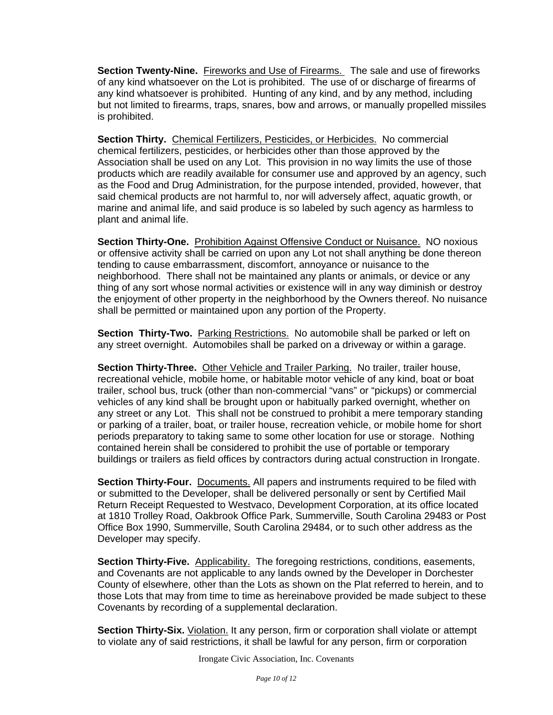**Section Twenty-Nine.** Fireworks and Use of Firearms. The sale and use of fireworks of any kind whatsoever on the Lot is prohibited. The use of or discharge of firearms of any kind whatsoever is prohibited. Hunting of any kind, and by any method, including but not limited to firearms, traps, snares, bow and arrows, or manually propelled missiles is prohibited.

**Section Thirty.** Chemical Fertilizers, Pesticides, or Herbicides. No commercial chemical fertilizers, pesticides, or herbicides other than those approved by the Association shall be used on any Lot. This provision in no way limits the use of those products which are readily available for consumer use and approved by an agency, such as the Food and Drug Administration, for the purpose intended, provided, however, that said chemical products are not harmful to, nor will adversely affect, aquatic growth, or marine and animal life, and said produce is so labeled by such agency as harmless to plant and animal life.

**Section Thirty-One.** Prohibition Against Offensive Conduct or Nuisance. NO noxious or offensive activity shall be carried on upon any Lot not shall anything be done thereon tending to cause embarrassment, discomfort, annoyance or nuisance to the neighborhood. There shall not be maintained any plants or animals, or device or any thing of any sort whose normal activities or existence will in any way diminish or destroy the enjoyment of other property in the neighborhood by the Owners thereof. No nuisance shall be permitted or maintained upon any portion of the Property.

**Section Thirty-Two.** Parking Restrictions. No automobile shall be parked or left on any street overnight. Automobiles shall be parked on a driveway or within a garage.

**Section Thirty-Three.** Other Vehicle and Trailer Parking. No trailer, trailer house, recreational vehicle, mobile home, or habitable motor vehicle of any kind, boat or boat trailer, school bus, truck (other than non-commercial "vans" or "pickups) or commercial vehicles of any kind shall be brought upon or habitually parked overnight, whether on any street or any Lot. This shall not be construed to prohibit a mere temporary standing or parking of a trailer, boat, or trailer house, recreation vehicle, or mobile home for short periods preparatory to taking same to some other location for use or storage. Nothing contained herein shall be considered to prohibit the use of portable or temporary buildings or trailers as field offices by contractors during actual construction in Irongate.

**Section Thirty-Four.** Documents. All papers and instruments required to be filed with or submitted to the Developer, shall be delivered personally or sent by Certified Mail Return Receipt Requested to Westvaco, Development Corporation, at its office located at 1810 Trolley Road, Oakbrook Office Park, Summerville, South Carolina 29483 or Post Office Box 1990, Summerville, South Carolina 29484, or to such other address as the Developer may specify.

**Section Thirty-Five.** Applicability. The foregoing restrictions, conditions, easements, and Covenants are not applicable to any lands owned by the Developer in Dorchester County of elsewhere, other than the Lots as shown on the Plat referred to herein, and to those Lots that may from time to time as hereinabove provided be made subject to these Covenants by recording of a supplemental declaration.

**Section Thirty-Six.** *Violation.* It any person, firm or corporation shall violate or attempt to violate any of said restrictions, it shall be lawful for any person, firm or corporation

Irongate Civic Association, Inc. Covenants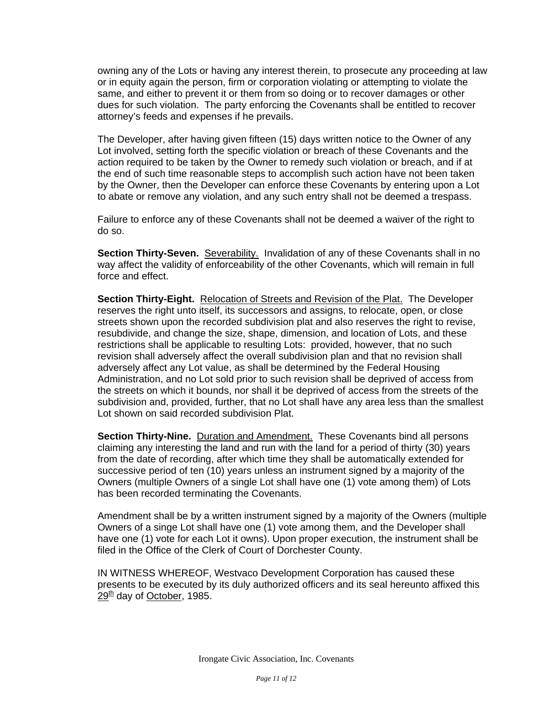owning any of the Lots or having any interest therein, to prosecute any proceeding at law or in equity again the person, firm or corporation violating or attempting to violate the same, and either to prevent it or them from so doing or to recover damages or other dues for such violation. The party enforcing the Covenants shall be entitled to recover attorney's feeds and expenses if he prevails.

The Developer, after having given fifteen (15) days written notice to the Owner of any Lot involved, setting forth the specific violation or breach of these Covenants and the action required to be taken by the Owner to remedy such violation or breach, and if at the end of such time reasonable steps to accomplish such action have not been taken by the Owner, then the Developer can enforce these Covenants by entering upon a Lot to abate or remove any violation, and any such entry shall not be deemed a trespass.

Failure to enforce any of these Covenants shall not be deemed a waiver of the right to do so.

**Section Thirty-Seven.** Severability. Invalidation of any of these Covenants shall in no way affect the validity of enforceability of the other Covenants, which will remain in full force and effect.

**Section Thirty-Eight.** Relocation of Streets and Revision of the Plat. The Developer reserves the right unto itself, its successors and assigns, to relocate, open, or close streets shown upon the recorded subdivision plat and also reserves the right to revise, resubdivide, and change the size, shape, dimension, and location of Lots, and these restrictions shall be applicable to resulting Lots: provided, however, that no such revision shall adversely affect the overall subdivision plan and that no revision shall adversely affect any Lot value, as shall be determined by the Federal Housing Administration, and no Lot sold prior to such revision shall be deprived of access from the streets on which it bounds, nor shall it be deprived of access from the streets of the subdivision and, provided, further, that no Lot shall have any area less than the smallest Lot shown on said recorded subdivision Plat.

**Section Thirty-Nine.** Duration and Amendment. These Covenants bind all persons claiming any interesting the land and run with the land for a period of thirty (30) years from the date of recording, after which time they shall be automatically extended for successive period of ten (10) years unless an instrument signed by a majority of the Owners (multiple Owners of a single Lot shall have one (1) vote among them) of Lots has been recorded terminating the Covenants.

Amendment shall be by a written instrument signed by a majority of the Owners (multiple Owners of a singe Lot shall have one (1) vote among them, and the Developer shall have one (1) vote for each Lot it owns). Upon proper execution, the instrument shall be filed in the Office of the Clerk of Court of Dorchester County.

IN WITNESS WHEREOF, Westvaco Development Corporation has caused these presents to be executed by its duly authorized officers and its seal hereunto affixed this 29<sup>th</sup> day of October, 1985.